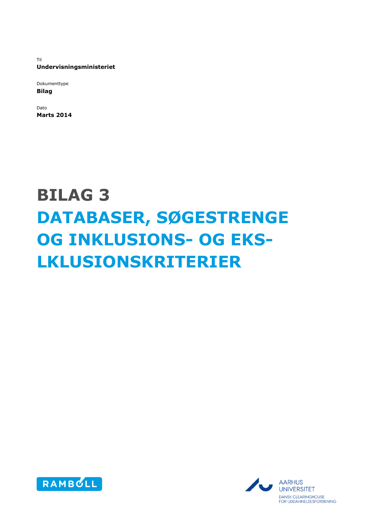Til **Undervisningsministeriet**

Dokumenttype **Bilag**

Dato **Marts 2014**

# **BILAG 3 DATABASER, SØGESTRENGE OG INKLUSIONS- OG EKS-LKLUSIONSKRITERIER**



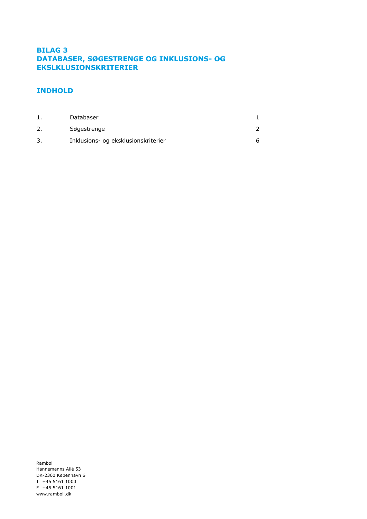# **BILAG 3 DATABASER, SØGESTRENGE OG INKLUSIONS- OG EKSLKLUSIONSKRITERIER**

# **INDHOLD**

| Databaser                           |  |
|-------------------------------------|--|
| Søgestrenge                         |  |
| Inklusions- og eksklusionskriterier |  |

Rambøll Hannemanns Allé 53 DK-2300 København S T +45 5161 1000 F +45 5161 1001 www.ramboll.dk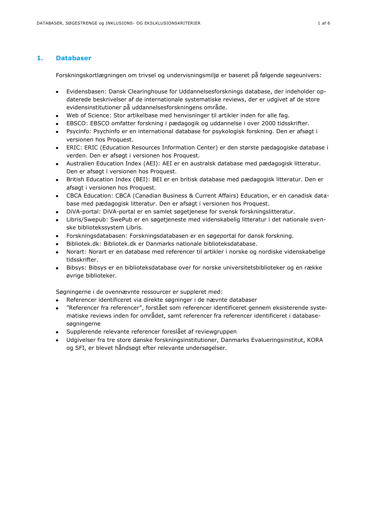# <span id="page-2-0"></span>**1. Databaser**

Forskningskortlægningen om trivsel og undervisningsmiljø er baseret på følgende søgeunivers:

- Evidensbasen: Dansk Clearinghouse for Uddannelsesforsknings database, der indeholder opdaterede beskrivelser af de internationale systematiske reviews, der er udgivet af de store evidensinstitutioner på uddannelsesforskningens område.
- Web of Science: Stor artikelbase med henvisninger til artikler inden for alle fag.
- EBSCO: EBSCO omfatter forskning i pædagogik og uddannelse i over 2000 tidsskrifter.
- Psycinfo: Psychinfo er en international database for psykologisk forskning. Den er afsøgt i  $\bullet$ versionen hos Proquest.
- ERIC: ERIC (Education Resources Information Center) er den største pædagogiske database i verden. Den er afsøgt i versionen hos Proquest.
- Australien Education Index (AEI): AEI er en australsk database med pædagogisk litteratur. Den er afsøgt i versionen hos Proquest.
- British Education Index (BEI): BEI er en britisk database med pædagogisk litteratur. Den er  $\bullet$ afsøgt i versionen hos Proquest.
- CBCA Education: CBCA (Canadian Business & Current Affairs) Education, er en canadisk database med pædagogisk litteratur. Den er afsøgt i versionen hos Proquest.
- DiVA-portal: DiVA-portal er en samlet søgetjenese for svensk forskningslitteratur.  $\bullet$
- Libris/Swepub: SwePub er en søgetjeneste med videnskabelig litteratur i det nationale svenske bibliotekssystem Libris.
- Forskningsdatabasen: Forskningsdatabasen er en søgeportal for dansk forskning.  $\bullet$
- Bibliotek.dk: Bibliotek.dk er Danmarks nationale biblioteksdatabase.
- Norart: Norart er en database med referencer til artikler i norske og nordiske videnskabelige tidsskrifter.
- Bibsys: Bibsys er en biblioteksdatabase over for norske universitetsbiblioteker og en række øvrige biblioteker.

Søgningerne i de ovennævnte ressourcer er suppleret med:

- Referencer identificeret via direkte søgninger i de nævnte databaser
- "Referencer fra referencer", forstået som referencer identificeret gennem eksisterende syste- $\bullet$ matiske reviews inden for området, samt referencer fra referencer identificeret i databasesøgningerne
- Supplerende relevante referencer foreslået af reviewgruppen
- Udgivelser fra tre store danske forskningsinstitutioner, Danmarks Evalueringsinstitut, KORA og SFI, er blevet håndsøgt efter relevante undersøgelser.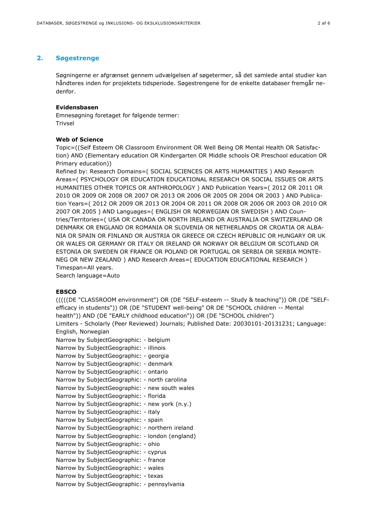# <span id="page-3-0"></span>**2. Søgestrenge**

Søgningerne er afgrænset gennem udvælgelsen af søgetermer, så det samlede antal studier kan håndteres inden for projektets tidsperiode. Søgestrengene for de enkelte databaser fremgår nedenfor.

#### **Evidensbasen**

Emnesøgning foretaget for følgende termer: Trivsel

#### **Web of Science**

Topic=((Self Esteem OR Classroom Environment OR Well Being OR Mental Health OR Satisfaction) AND (Elementary education OR Kindergarten OR Middle schools OR Preschool education OR Primary education))

Refined by: Research Domains=( SOCIAL SCIENCES OR ARTS HUMANITIES ) AND Research Areas=( PSYCHOLOGY OR EDUCATION EDUCATIONAL RESEARCH OR SOCIAL ISSUES OR ARTS HUMANITIES OTHER TOPICS OR ANTHROPOLOGY ) AND Publication Years=( 2012 OR 2011 OR 2010 OR 2009 OR 2008 OR 2007 OR 2013 OR 2006 OR 2005 OR 2004 OR 2003 ) AND Publication Years=( 2012 OR 2009 OR 2013 OR 2004 OR 2011 OR 2008 OR 2006 OR 2003 OR 2010 OR 2007 OR 2005 ) AND Languages=( ENGLISH OR NORWEGIAN OR SWEDISH ) AND Countries/Territories=( USA OR CANADA OR NORTH IRELAND OR AUSTRALIA OR SWITZERLAND OR DENMARK OR ENGLAND OR ROMANIA OR SLOVENIA OR NETHERLANDS OR CROATIA OR ALBA-NIA OR SPAIN OR FINLAND OR AUSTRIA OR GREECE OR CZECH REPUBLIC OR HUNGARY OR UK OR WALES OR GERMANY OR ITALY OR IRELAND OR NORWAY OR BELGIUM OR SCOTLAND OR ESTONIA OR SWEDEN OR FRANCE OR POLAND OR PORTUGAL OR SERBIA OR SERBIA MONTE-NEG OR NEW ZEALAND ) AND Research Areas=( EDUCATION EDUCATIONAL RESEARCH ) Timespan=All years.

Search language=Auto

#### **EBSCO**

(((((DE "CLASSROOM environment") OR (DE "SELF-esteem -- Study & teaching")) OR (DE "SELFefficacy in students")) OR (DE "STUDENT well-being" OR DE "SCHOOL children -- Mental health")) AND (DE "EARLY childhood education")) OR (DE "SCHOOL children") Limiters - Scholarly (Peer Reviewed) Journals; Published Date: 20030101-20131231; Language: English, Norwegian Narrow by SubjectGeographic: - belgium Narrow by SubjectGeographic: - illinois Narrow by SubjectGeographic: - georgia Narrow by SubjectGeographic: - denmark Narrow by SubjectGeographic: - ontario Narrow by SubjectGeographic: - north carolina Narrow by SubjectGeographic: - new south wales Narrow by SubjectGeographic: - florida Narrow by SubjectGeographic: - new york (n.y.) Narrow by SubjectGeographic: - italy Narrow by SubjectGeographic: - spain Narrow by SubjectGeographic: - northern ireland Narrow by SubjectGeographic: - london (england) Narrow by SubjectGeographic: - ohio Narrow by SubjectGeographic: - cyprus Narrow by SubjectGeographic: - france Narrow by SubjectGeographic: - wales Narrow by SubjectGeographic: - texas Narrow by SubjectGeographic: - pennsylvania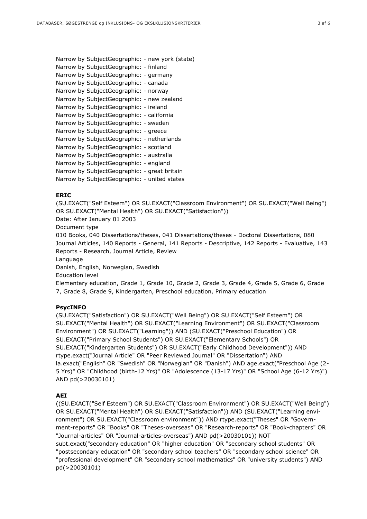```
Narrow by SubjectGeographic: - new york (state) 
Narrow by SubjectGeographic: - finland 
Narrow by SubjectGeographic: - germany 
Narrow by SubjectGeographic: - canada 
Narrow by SubjectGeographic: - norway 
Narrow by SubjectGeographic: - new zealand 
Narrow by SubjectGeographic: - ireland 
Narrow by SubjectGeographic: - california 
Narrow by SubjectGeographic: - sweden 
Narrow by SubjectGeographic: - greece 
Narrow by SubjectGeographic: - netherlands 
Narrow by SubjectGeographic: - scotland 
Narrow by SubjectGeographic: - australia 
Narrow by SubjectGeographic: - england 
Narrow by SubjectGeographic: - great britain 
Narrow by SubjectGeographic: - united states
```
#### **ERIC**

(SU.EXACT("Self Esteem") OR SU.EXACT("Classroom Environment") OR SU.EXACT("Well Being") OR SU.EXACT("Mental Health") OR SU.EXACT("Satisfaction")) Date: After January 01 2003 Document type 010 Books, 040 Dissertations/theses, 041 Dissertations/theses - Doctoral Dissertations, 080 Journal Articles, 140 Reports - General, 141 Reports - Descriptive, 142 Reports - Evaluative, 143 Reports - Research, Journal Article, Review Language Danish, English, Norwegian, Swedish Education level

Elementary education, Grade 1, Grade 10, Grade 2, Grade 3, Grade 4, Grade 5, Grade 6, Grade 7, Grade 8, Grade 9, Kindergarten, Preschool education, Primary education

#### **PsycINFO**

(SU.EXACT("Satisfaction") OR SU.EXACT("Well Being") OR SU.EXACT("Self Esteem") OR SU.EXACT("Mental Health") OR SU.EXACT("Learning Environment") OR SU.EXACT("Classroom Environment") OR SU.EXACT("Learning")) AND (SU.EXACT("Preschool Education") OR SU.EXACT("Primary School Students") OR SU.EXACT("Elementary Schools") OR SU.EXACT("Kindergarten Students") OR SU.EXACT("Early Childhood Development")) AND rtype.exact("Journal Article" OR "Peer Reviewed Journal" OR "Dissertation") AND la.exact("English" OR "Swedish" OR "Norwegian" OR "Danish") AND age.exact("Preschool Age (2- 5 Yrs)" OR "Childhood (birth-12 Yrs)" OR "Adolescence (13-17 Yrs)" OR "School Age (6-12 Yrs)") AND pd(>20030101)

#### **AEI**

((SU.EXACT("Self Esteem") OR SU.EXACT("Classroom Environment") OR SU.EXACT("Well Being") OR SU.EXACT("Mental Health") OR SU.EXACT("Satisfaction")) AND (SU.EXACT("Learning environment") OR SU.EXACT("Classroom environment")) AND rtype.exact("Theses" OR "Government-reports" OR "Books" OR "Theses-overseas" OR "Research-reports" OR "Book-chapters" OR "Journal-articles" OR "Journal-articles-overseas") AND pd(>20030101)) NOT subt.exact("secondary education" OR "higher education" OR "secondary school students" OR "postsecondary education" OR "secondary school teachers" OR "secondary school science" OR "professional development" OR "secondary school mathematics" OR "university students") AND pd(>20030101)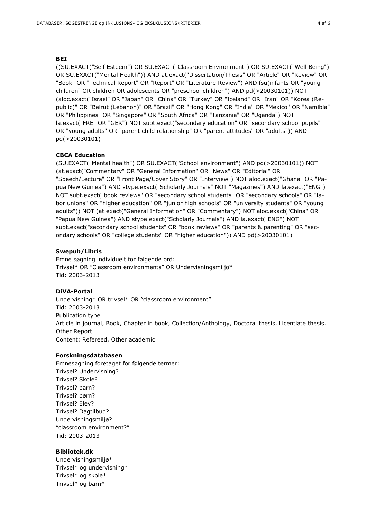#### **BEI**

((SU.EXACT("Self Esteem") OR SU.EXACT("Classroom Environment") OR SU.EXACT("Well Being") OR SU.EXACT("Mental Health")) AND at.exact("Dissertation/Thesis" OR "Article" OR "Review" OR "Book" OR "Technical Report" OR "Report" OR "Literature Review") AND fsu(infants OR "young children" OR children OR adolescents OR "preschool children") AND pd(>20030101)) NOT (aloc.exact("Israel" OR "Japan" OR "China" OR "Turkey" OR "Iceland" OR "Iran" OR "Korea (Republic)" OR "Beirut (Lebanon)" OR "Brazil" OR "Hong Kong" OR "India" OR "Mexico" OR "Namibia" OR "Philippines" OR "Singapore" OR "South Africa" OR "Tanzania" OR "Uganda") NOT la.exact("FRE" OR "GER") NOT subt.exact("secondary education" OR "secondary school pupils" OR "young adults" OR "parent child relationship" OR "parent attitudes" OR "adults")) AND pd(>20030101)

#### **CBCA Education**

(SU.EXACT("Mental health") OR SU.EXACT("School environment") AND pd(>20030101)) NOT (at.exact("Commentary" OR "General Information" OR "News" OR "Editorial" OR "Speech/Lecture" OR "Front Page/Cover Story" OR "Interview") NOT aloc.exact("Ghana" OR "Papua New Guinea") AND stype.exact("Scholarly Journals" NOT "Magazines") AND la.exact("ENG") NOT subt.exact("book reviews" OR "secondary school students" OR "secondary schools" OR "labor unions" OR "higher education" OR "junior high schools" OR "university students" OR "young adults")) NOT (at.exact("General Information" OR "Commentary") NOT aloc.exact("China" OR "Papua New Guinea") AND stype.exact("Scholarly Journals") AND la.exact("ENG") NOT subt.exact("secondary school students" OR "book reviews" OR "parents & parenting" OR "secondary schools" OR "college students" OR "higher education")) AND pd(>20030101)

#### **Swepub/Libris**

Emne søgning individuelt for følgende ord: Trivsel\* OR "Classroom environments" OR Undervisningsmiljö\* Tid: 2003-2013

#### **DiVA-Portal**

Undervisning\* OR trivsel\* OR "classroom environment" Tid: 2003-2013 Publication type Article in journal, Book, Chapter in book, Collection/Anthology, Doctoral thesis, Licentiate thesis, Other Report Content: Refereed, Other academic

#### **Forskningsdatabasen**

Emnesøgning foretaget for følgende termer: Trivsel? Undervisning? Trivsel? Skole? Trivsel? barn? Trivsel? børn? Trivsel? Elev? Trivsel? Dagtilbud? Undervisningsmiljø? "classroom environment?" Tid: 2003-2013

#### **Bibliotek.dk**

Undervisningsmiljø\* Trivsel\* og undervisning\* Trivsel\* og skole\* Trivsel\* og barn\*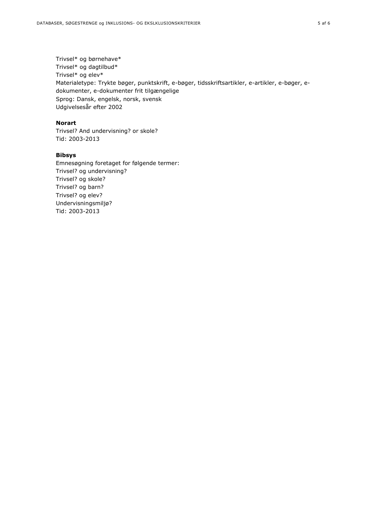Trivsel\* og børnehave\* Trivsel\* og dagtilbud\* Trivsel\* og elev\* Materialetype: Trykte bøger, punktskrift, e-bøger, tidsskriftsartikler, e-artikler, e-bøger, edokumenter, e-dokumenter frit tilgængelige Sprog: Dansk, engelsk, norsk, svensk Udgivelsesår efter 2002

#### **Norart**

Trivsel? And undervisning? or skole? Tid: 2003-2013

# **Bibsys**

Emnesøgning foretaget for følgende termer: Trivsel? og undervisning? Trivsel? og skole? Trivsel? og barn? Trivsel? og elev? Undervisningsmiljø? Tid: 2003-2013